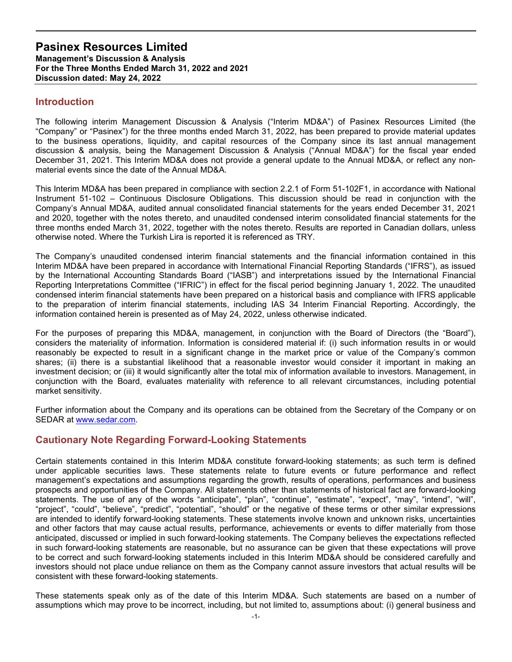## Introduction

The following interim Management Discussion & Analysis ("Interim MD&A") of Pasinex Resources Limited (the "Company" or "Pasinex") for the three months ended March 31, 2022, has been prepared to provide material updates to the business operations, liquidity, and capital resources of the Company since its last annual management discussion & analysis, being the Management Discussion & Analysis ("Annual MD&A") for the fiscal year ended December 31, 2021. This Interim MD&A does not provide a general update to the Annual MD&A, or reflect any nonmaterial events since the date of the Annual MD&A.

This Interim MD&A has been prepared in compliance with section 2.2.1 of Form 51-102F1, in accordance with National Instrument 51-102 – Continuous Disclosure Obligations. This discussion should be read in conjunction with the Company's Annual MD&A, audited annual consolidated financial statements for the years ended December 31, 2021 and 2020, together with the notes thereto, and unaudited condensed interim consolidated financial statements for the three months ended March 31, 2022, together with the notes thereto. Results are reported in Canadian dollars, unless otherwise noted. Where the Turkish Lira is reported it is referenced as TRY.

The Company's unaudited condensed interim financial statements and the financial information contained in this Interim MD&A have been prepared in accordance with International Financial Reporting Standards ("IFRS"), as issued by the International Accounting Standards Board ("IASB") and interpretations issued by the International Financial Reporting Interpretations Committee ("IFRIC") in effect for the fiscal period beginning January 1, 2022. The unaudited condensed interim financial statements have been prepared on a historical basis and compliance with IFRS applicable to the preparation of interim financial statements, including IAS 34 Interim Financial Reporting. Accordingly, the information contained herein is presented as of May 24, 2022, unless otherwise indicated.

For the purposes of preparing this MD&A, management, in conjunction with the Board of Directors (the "Board"), considers the materiality of information. Information is considered material if: (i) such information results in or would reasonably be expected to result in a significant change in the market price or value of the Company's common shares; (ii) there is a substantial likelihood that a reasonable investor would consider it important in making an investment decision; or (iii) it would significantly alter the total mix of information available to investors. Management, in conjunction with the Board, evaluates materiality with reference to all relevant circumstances, including potential market sensitivity.

Further information about the Company and its operations can be obtained from the Secretary of the Company or on SEDAR at www.sedar.com.

## Cautionary Note Regarding Forward-Looking Statements

Certain statements contained in this Interim MD&A constitute forward-looking statements; as such term is defined under applicable securities laws. These statements relate to future events or future performance and reflect management's expectations and assumptions regarding the growth, results of operations, performances and business prospects and opportunities of the Company. All statements other than statements of historical fact are forward-looking statements. The use of any of the words "anticipate", "plan", "continue", "estimate", "expect", "may", "intend", "will", "project", "could", "believe", "predict", "potential", "should" or the negative of these terms or other similar expressions are intended to identify forward-looking statements. These statements involve known and unknown risks, uncertainties and other factors that may cause actual results, performance, achievements or events to differ materially from those anticipated, discussed or implied in such forward-looking statements. The Company believes the expectations reflected in such forward-looking statements are reasonable, but no assurance can be given that these expectations will prove to be correct and such forward-looking statements included in this Interim MD&A should be considered carefully and investors should not place undue reliance on them as the Company cannot assure investors that actual results will be consistent with these forward-looking statements.

These statements speak only as of the date of this Interim MD&A. Such statements are based on a number of assumptions which may prove to be incorrect, including, but not limited to, assumptions about: (i) general business and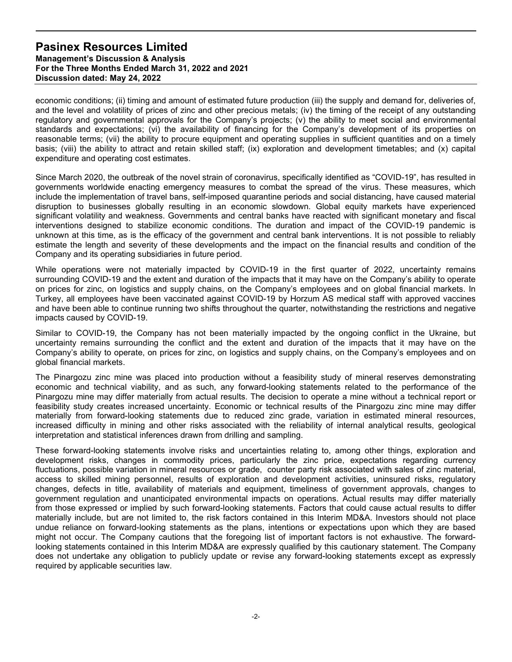economic conditions; (ii) timing and amount of estimated future production (iii) the supply and demand for, deliveries of, and the level and volatility of prices of zinc and other precious metals; (iv) the timing of the receipt of any outstanding regulatory and governmental approvals for the Company's projects; (v) the ability to meet social and environmental standards and expectations; (vi) the availability of financing for the Company's development of its properties on reasonable terms; (vii) the ability to procure equipment and operating supplies in sufficient quantities and on a timely basis; (viii) the ability to attract and retain skilled staff; (ix) exploration and development timetables; and (x) capital expenditure and operating cost estimates.

Since March 2020, the outbreak of the novel strain of coronavirus, specifically identified as "COVID-19", has resulted in governments worldwide enacting emergency measures to combat the spread of the virus. These measures, which include the implementation of travel bans, self-imposed quarantine periods and social distancing, have caused material disruption to businesses globally resulting in an economic slowdown. Global equity markets have experienced significant volatility and weakness. Governments and central banks have reacted with significant monetary and fiscal interventions designed to stabilize economic conditions. The duration and impact of the COVID-19 pandemic is unknown at this time, as is the efficacy of the government and central bank interventions. It is not possible to reliably estimate the length and severity of these developments and the impact on the financial results and condition of the Company and its operating subsidiaries in future period.

While operations were not materially impacted by COVID-19 in the first quarter of 2022, uncertainty remains surrounding COVID-19 and the extent and duration of the impacts that it may have on the Company's ability to operate on prices for zinc, on logistics and supply chains, on the Company's employees and on global financial markets. In Turkey, all employees have been vaccinated against COVID-19 by Horzum AS medical staff with approved vaccines and have been able to continue running two shifts throughout the quarter, notwithstanding the restrictions and negative impacts caused by COVID-19.

Similar to COVID-19, the Company has not been materially impacted by the ongoing conflict in the Ukraine, but uncertainty remains surrounding the conflict and the extent and duration of the impacts that it may have on the Company's ability to operate, on prices for zinc, on logistics and supply chains, on the Company's employees and on global financial markets.

The Pinargozu zinc mine was placed into production without a feasibility study of mineral reserves demonstrating economic and technical viability, and as such, any forward-looking statements related to the performance of the Pinargozu mine may differ materially from actual results. The decision to operate a mine without a technical report or feasibility study creates increased uncertainty. Economic or technical results of the Pinargozu zinc mine may differ materially from forward-looking statements due to reduced zinc grade, variation in estimated mineral resources, increased difficulty in mining and other risks associated with the reliability of internal analytical results, geological interpretation and statistical inferences drawn from drilling and sampling.

These forward-looking statements involve risks and uncertainties relating to, among other things, exploration and development risks, changes in commodity prices, particularly the zinc price, expectations regarding currency fluctuations, possible variation in mineral resources or grade, counter party risk associated with sales of zinc material, access to skilled mining personnel, results of exploration and development activities, uninsured risks, regulatory changes, defects in title, availability of materials and equipment, timeliness of government approvals, changes to government regulation and unanticipated environmental impacts on operations. Actual results may differ materially from those expressed or implied by such forward-looking statements. Factors that could cause actual results to differ materially include, but are not limited to, the risk factors contained in this Interim MD&A. Investors should not place undue reliance on forward-looking statements as the plans, intentions or expectations upon which they are based might not occur. The Company cautions that the foregoing list of important factors is not exhaustive. The forwardlooking statements contained in this Interim MD&A are expressly qualified by this cautionary statement. The Company does not undertake any obligation to publicly update or revise any forward-looking statements except as expressly required by applicable securities law.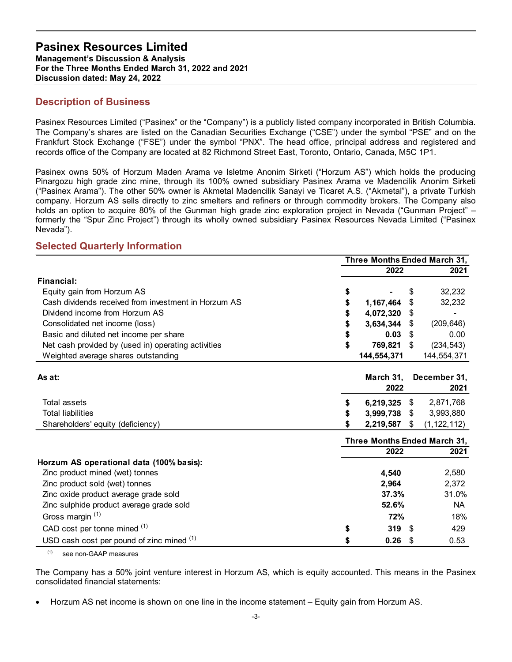Management's Discussion & Analysis For the Three Months Ended March 31, 2022 and 2021 Discussion dated: May 24, 2022

## Description of Business

Pasinex Resources Limited ("Pasinex" or the "Company") is a publicly listed company incorporated in British Columbia. The Company's shares are listed on the Canadian Securities Exchange ("CSE") under the symbol "PSE" and on the Frankfurt Stock Exchange ("FSE") under the symbol "PNX". The head office, principal address and registered and records office of the Company are located at 82 Richmond Street East, Toronto, Ontario, Canada, M5C 1P1.

Pasinex owns 50% of Horzum Maden Arama ve Isletme Anonim Sirketi ("Horzum AS") which holds the producing Pinargozu high grade zinc mine, through its 100% owned subsidiary Pasinex Arama ve Madencilik Anonim Sirketi ("Pasinex Arama"). The other 50% owner is Akmetal Madencilik Sanayi ve Ticaret A.S. ("Akmetal"), a private Turkish company. Horzum AS sells directly to zinc smelters and refiners or through commodity brokers. The Company also holds an option to acquire 80% of the Gunman high grade zinc exploration project in Nevada ("Gunman Project" – formerly the "Spur Zinc Project") through its wholly owned subsidiary Pasinex Resources Nevada Limited ("Pasinex Nevada"). ated in British Columbia.<br>
mbol "PSE" and on the<br>
ess and registered and<br>
da, M5C 1P1.<br>
ich holds the producing<br>
iadencilik Anonim Sirketi<br>
netal"), a private Turkish<br>
ers. The Company also<br>
da ("Gunman Project" –<br>
evada L

## Selected Quarterly Information

| Pasinex owns 50% of Horzum Maden Arama ve Isletme Anonim Sirketi ("Horzum AS") which holds the producing<br>Pinargozu high grade zinc mine, through its 100% owned subsidiary Pasinex Arama ve Madencilik Anonim Sirketi                                                                                                                                                                                                                                                                |                              |                           |
|-----------------------------------------------------------------------------------------------------------------------------------------------------------------------------------------------------------------------------------------------------------------------------------------------------------------------------------------------------------------------------------------------------------------------------------------------------------------------------------------|------------------------------|---------------------------|
| ("Pasinex Arama"). The other 50% owner is Akmetal Madencilik Sanayi ve Ticaret A.S. ("Akmetal"), a private Turkish<br>company. Horzum AS sells directly to zinc smelters and refiners or through commodity brokers. The Company also<br>holds an option to acquire 80% of the Gunman high grade zinc exploration project in Nevada ("Gunman Project" –<br>formerly the "Spur Zinc Project") through its wholly owned subsidiary Pasinex Resources Nevada Limited ("Pasinex<br>Nevada"). |                              |                           |
| <b>Selected Quarterly Information</b>                                                                                                                                                                                                                                                                                                                                                                                                                                                   |                              |                           |
|                                                                                                                                                                                                                                                                                                                                                                                                                                                                                         | Three Months Ended March 31, |                           |
|                                                                                                                                                                                                                                                                                                                                                                                                                                                                                         | 2022                         | 2021                      |
| Financial:                                                                                                                                                                                                                                                                                                                                                                                                                                                                              |                              |                           |
| Equity gain from Horzum AS                                                                                                                                                                                                                                                                                                                                                                                                                                                              |                              | 32,232                    |
| Cash dividends received from investment in Horzum AS                                                                                                                                                                                                                                                                                                                                                                                                                                    | 1,167,464 \$                 | 32,232                    |
| Dividend income from Horzum AS                                                                                                                                                                                                                                                                                                                                                                                                                                                          | 4,072,320 \$                 |                           |
| Consolidated net income (loss)                                                                                                                                                                                                                                                                                                                                                                                                                                                          | $3,634,344$ \$               | (209, 646)                |
| Basic and diluted net income per share                                                                                                                                                                                                                                                                                                                                                                                                                                                  | $0.03$ \$                    | 0.00                      |
| Net cash provided by (used in) operating activities<br>Weighted average shares outstanding                                                                                                                                                                                                                                                                                                                                                                                              | 769,821 \$<br>144,554,371    | (234, 543)<br>144,554,371 |
|                                                                                                                                                                                                                                                                                                                                                                                                                                                                                         |                              |                           |
| As at:                                                                                                                                                                                                                                                                                                                                                                                                                                                                                  | March 31,                    | December 31,              |
|                                                                                                                                                                                                                                                                                                                                                                                                                                                                                         | 2022                         | 2021                      |
| Total assets                                                                                                                                                                                                                                                                                                                                                                                                                                                                            | $6,219,325$ \$               | 2,871,768                 |
| <b>Total liabilities</b>                                                                                                                                                                                                                                                                                                                                                                                                                                                                | 3,999,738 \$                 | 3,993,880                 |
| Shareholders' equity (deficiency)                                                                                                                                                                                                                                                                                                                                                                                                                                                       | 2,219,587 \$                 | (1, 122, 112)             |
|                                                                                                                                                                                                                                                                                                                                                                                                                                                                                         | Three Months Ended March 31, |                           |
|                                                                                                                                                                                                                                                                                                                                                                                                                                                                                         | 2022                         | 2021                      |
| Horzum AS operational data (100% basis):                                                                                                                                                                                                                                                                                                                                                                                                                                                |                              |                           |
| Zinc product mined (wet) tonnes                                                                                                                                                                                                                                                                                                                                                                                                                                                         | 4,540                        | 2,580                     |
| Zinc product sold (wet) tonnes                                                                                                                                                                                                                                                                                                                                                                                                                                                          | 2,964                        | 2,372                     |
| Zinc oxide product average grade sold                                                                                                                                                                                                                                                                                                                                                                                                                                                   | 37.3%                        | 31.0%                     |
| Zinc sulphide product average grade sold                                                                                                                                                                                                                                                                                                                                                                                                                                                | 52.6%                        | <b>NA</b>                 |
| Gross margin <sup>(1)</sup>                                                                                                                                                                                                                                                                                                                                                                                                                                                             | 72%                          | 18%                       |
| CAD cost per tonne mined (1)                                                                                                                                                                                                                                                                                                                                                                                                                                                            | $319$ \$                     | 429                       |
| USD cash cost per pound of zinc mined (1)                                                                                                                                                                                                                                                                                                                                                                                                                                               | $0.26$ \$                    | 0.53                      |

(1) see non-GAAP measures

The Company has a 50% joint venture interest in Horzum AS, which is equity accounted. This means in the Pasinex consolidated financial statements:

Horzum AS net income is shown on one line in the income statement – Equity gain from Horzum AS.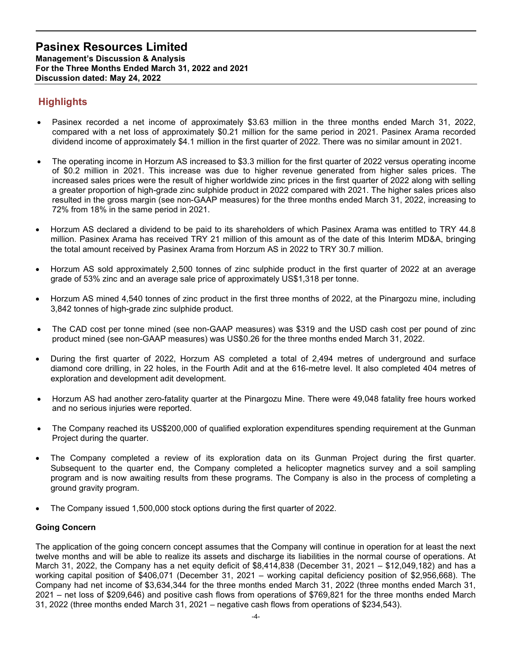# **Highlights**

- Pasinex recorded a net income of approximately \$3.63 million in the three months ended March 31, 2022, compared with a net loss of approximately \$0.21 million for the same period in 2021. Pasinex Arama recorded dividend income of approximately \$4.1 million in the first quarter of 2022. There was no similar amount in 2021.
- The operating income in Horzum AS increased to \$3.3 million for the first quarter of 2022 versus operating income of \$0.2 million in 2021. This increase was due to higher revenue generated from higher sales prices. The increased sales prices were the result of higher worldwide zinc prices in the first quarter of 2022 along with selling a greater proportion of high-grade zinc sulphide product in 2022 compared with 2021. The higher sales prices also resulted in the gross margin (see non-GAAP measures) for the three months ended March 31, 2022, increasing to 72% from 18% in the same period in 2021.
- Horzum AS declared a dividend to be paid to its shareholders of which Pasinex Arama was entitled to TRY 44.8 million. Pasinex Arama has received TRY 21 million of this amount as of the date of this Interim MD&A, bringing the total amount received by Pasinex Arama from Horzum AS in 2022 to TRY 30.7 million.
- Horzum AS sold approximately 2,500 tonnes of zinc sulphide product in the first quarter of 2022 at an average grade of 53% zinc and an average sale price of approximately US\$1,318 per tonne.
- Horzum AS mined 4,540 tonnes of zinc product in the first three months of 2022, at the Pinargozu mine, including 3,842 tonnes of high-grade zinc sulphide product.
- The CAD cost per tonne mined (see non-GAAP measures) was \$319 and the USD cash cost per pound of zinc product mined (see non-GAAP measures) was US\$0.26 for the three months ended March 31, 2022.
- During the first quarter of 2022, Horzum AS completed a total of 2,494 metres of underground and surface diamond core drilling, in 22 holes, in the Fourth Adit and at the 616-metre level. It also completed 404 metres of exploration and development adit development.
- Horzum AS had another zero-fatality quarter at the Pinargozu Mine. There were 49,048 fatality free hours worked and no serious injuries were reported.
- The Company reached its US\$200,000 of qualified exploration expenditures spending requirement at the Gunman Project during the quarter.
- The Company completed a review of its exploration data on its Gunman Project during the first quarter. Subsequent to the quarter end, the Company completed a helicopter magnetics survey and a soil sampling program and is now awaiting results from these programs. The Company is also in the process of completing a ground gravity program.
- The Company issued 1,500,000 stock options during the first quarter of 2022.

#### Going Concern

The application of the going concern concept assumes that the Company will continue in operation for at least the next twelve months and will be able to realize its assets and discharge its liabilities in the normal course of operations. At March 31, 2022, the Company has a net equity deficit of \$8,414,838 (December 31, 2021 – \$12,049,182) and has a working capital position of \$406,071 (December 31, 2021 – working capital deficiency position of \$2,956,668). The Company had net income of \$3,634,344 for the three months ended March 31, 2022 (three months ended March 31, 2021 – net loss of \$209,646) and positive cash flows from operations of \$769,821 for the three months ended March 31, 2022 (three months ended March 31, 2021 – negative cash flows from operations of \$234,543).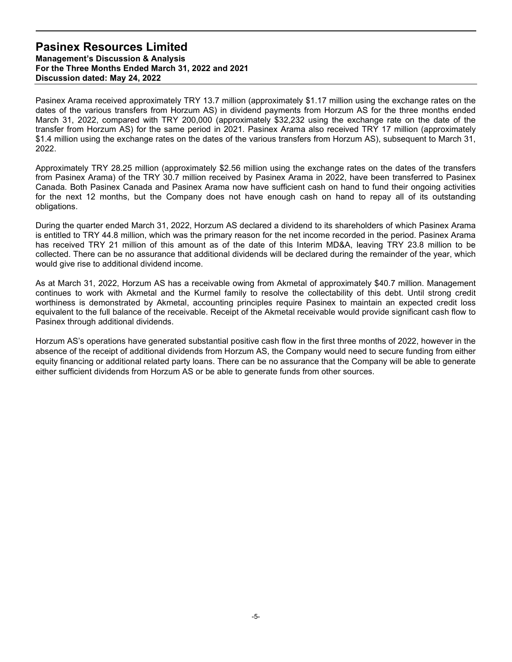Pasinex Arama received approximately TRY 13.7 million (approximately \$1.17 million using the exchange rates on the dates of the various transfers from Horzum AS) in dividend payments from Horzum AS for the three months ended March 31, 2022, compared with TRY 200,000 (approximately \$32,232 using the exchange rate on the date of the transfer from Horzum AS) for the same period in 2021. Pasinex Arama also received TRY 17 million (approximately \$1.4 million using the exchange rates on the dates of the various transfers from Horzum AS), subsequent to March 31, 2022.

Approximately TRY 28.25 million (approximately \$2.56 million using the exchange rates on the dates of the transfers from Pasinex Arama) of the TRY 30.7 million received by Pasinex Arama in 2022, have been transferred to Pasinex Canada. Both Pasinex Canada and Pasinex Arama now have sufficient cash on hand to fund their ongoing activities for the next 12 months, but the Company does not have enough cash on hand to repay all of its outstanding obligations.

During the quarter ended March 31, 2022, Horzum AS declared a dividend to its shareholders of which Pasinex Arama is entitled to TRY 44.8 million, which was the primary reason for the net income recorded in the period. Pasinex Arama has received TRY 21 million of this amount as of the date of this Interim MD&A, leaving TRY 23.8 million to be collected. There can be no assurance that additional dividends will be declared during the remainder of the year, which would give rise to additional dividend income.

As at March 31, 2022, Horzum AS has a receivable owing from Akmetal of approximately \$40.7 million. Management continues to work with Akmetal and the Kurmel family to resolve the collectability of this debt. Until strong credit worthiness is demonstrated by Akmetal, accounting principles require Pasinex to maintain an expected credit loss equivalent to the full balance of the receivable. Receipt of the Akmetal receivable would provide significant cash flow to Pasinex through additional dividends.

Horzum AS's operations have generated substantial positive cash flow in the first three months of 2022, however in the absence of the receipt of additional dividends from Horzum AS, the Company would need to secure funding from either equity financing or additional related party loans. There can be no assurance that the Company will be able to generate either sufficient dividends from Horzum AS or be able to generate funds from other sources.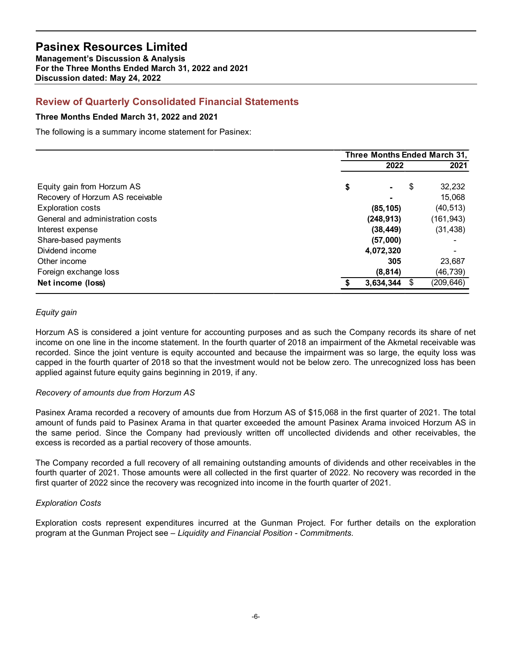## Review of Quarterly Consolidated Financial Statements

#### Three Months Ended March 31, 2022 and 2021

| <b>Pasinex Resources Limited</b><br><b>Management's Discussion &amp; Analysis</b><br>For the Three Months Ended March 31, 2022 and 2021<br>Discussion dated: May 24, 2022 |                              |                         |
|---------------------------------------------------------------------------------------------------------------------------------------------------------------------------|------------------------------|-------------------------|
| <b>Review of Quarterly Consolidated Financial Statements</b>                                                                                                              |                              |                         |
| Three Months Ended March 31, 2022 and 2021                                                                                                                                |                              |                         |
| The following is a summary income statement for Pasinex:                                                                                                                  |                              |                         |
|                                                                                                                                                                           | Three Months Ended March 31, |                         |
|                                                                                                                                                                           | 2022                         | 2021                    |
| Equity gain from Horzum AS                                                                                                                                                | \$                           | \$<br>32,232            |
| Recovery of Horzum AS receivable                                                                                                                                          |                              | 15,068                  |
| <b>Exploration costs</b>                                                                                                                                                  | (85, 105)                    | (40, 513)               |
|                                                                                                                                                                           | (248, 913)                   | (161, 943)              |
| General and administration costs                                                                                                                                          |                              |                         |
| Interest expense                                                                                                                                                          | (38, 449)                    | (31, 438)               |
| Share-based payments                                                                                                                                                      | (57,000)                     |                         |
| Dividend income                                                                                                                                                           | 4,072,320                    | $\blacksquare$          |
| Other income                                                                                                                                                              | 305                          | 23,687                  |
| Foreign exchange loss<br>Net income (loss)                                                                                                                                | (8, 814)<br>3,634,344 \$     | (46, 739)<br>(209, 646) |

#### Equity gain

Horzum AS is considered a joint venture for accounting purposes and as such the Company records its share of net income on one line in the income statement. In the fourth quarter of 2018 an impairment of the Akmetal receivable was recorded. Since the joint venture is equity accounted and because the impairment was so large, the equity loss was capped in the fourth quarter of 2018 so that the investment would not be below zero. The unrecognized loss has been applied against future equity gains beginning in 2019, if any.

#### Recovery of amounts due from Horzum AS

Pasinex Arama recorded a recovery of amounts due from Horzum AS of \$15,068 in the first quarter of 2021. The total amount of funds paid to Pasinex Arama in that quarter exceeded the amount Pasinex Arama invoiced Horzum AS in the same period. Since the Company had previously written off uncollected dividends and other receivables, the excess is recorded as a partial recovery of those amounts.

The Company recorded a full recovery of all remaining outstanding amounts of dividends and other receivables in the fourth quarter of 2021. Those amounts were all collected in the first quarter of 2022. No recovery was recorded in the first quarter of 2022 since the recovery was recognized into income in the fourth quarter of 2021.

#### Exploration Costs

Exploration costs represent expenditures incurred at the Gunman Project. For further details on the exploration program at the Gunman Project see – Liquidity and Financial Position - Commitments.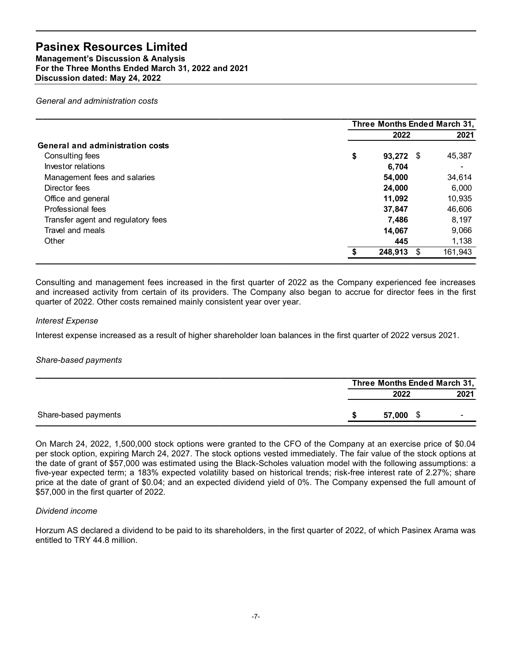| For the Three Months Ended March 31, 2022 and 2021 |                              |         |
|----------------------------------------------------|------------------------------|---------|
| Discussion dated: May 24, 2022                     |                              |         |
| General and administration costs                   |                              |         |
|                                                    | Three Months Ended March 31, |         |
|                                                    | 2022                         | 2021    |
| <b>General and administration costs</b>            |                              |         |
| Consulting fees                                    | \$<br>93,272 \$              | 45,387  |
| Investor relations                                 | 6,704                        | $\sim$  |
| Management fees and salaries                       | 54,000                       | 34,614  |
| Director fees                                      | 24,000                       | 6,000   |
| Office and general                                 | 11,092                       | 10,935  |
| Professional fees                                  | 37,847                       | 46,606  |
| Transfer agent and regulatory fees                 | 7,486                        | 8,197   |
| Travel and meals                                   | 14,067                       | 9,066   |
| Other                                              | 445                          | 1,138   |
|                                                    | 248,913 \$                   | 161,943 |

#### Interest Expense

#### Share-based payments

|        | Three Months Ended March 31, |
|--------|------------------------------|
| 2022   |                              |
| 57,000 |                              |

On March 24, 2022, 1,500,000 stock options were granted to the CFO of the Company at an exercise price of \$0.04 per stock option, expiring March 24, 2027. The stock options vested immediately. The fair value of the stock options at the date of grant of \$57,000 was estimated using the Black-Scholes valuation model with the following assumptions: a five-year expected term; a 183% expected volatility based on historical trends; risk-free interest rate of 2.27%; share price at the date of grant of \$0.04; and an expected dividend yield of 0%. The Company expensed the full amount of \$57,000 in the first quarter of 2022.

#### Dividend income

Horzum AS declared a dividend to be paid to its shareholders, in the first quarter of 2022, of which Pasinex Arama was entitled to TRY 44.8 million.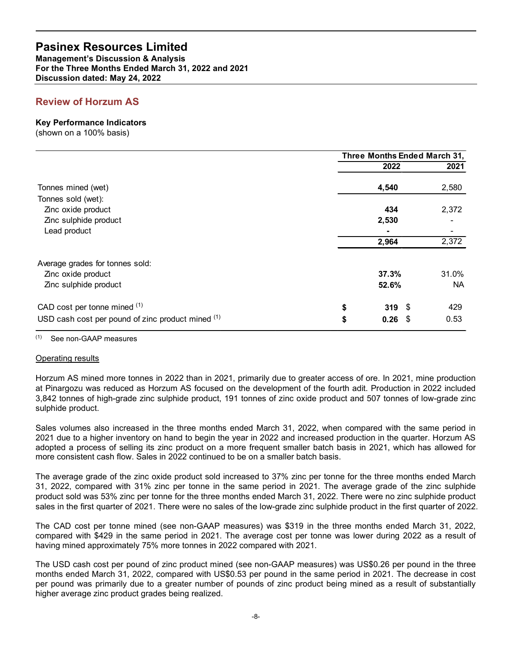## Review of Horzum AS

#### Key Performance Indicators

| <b>Pasinex Resources Limited</b><br><b>Management's Discussion &amp; Analysis</b>    |   |                              |                    |
|--------------------------------------------------------------------------------------|---|------------------------------|--------------------|
| For the Three Months Ended March 31, 2022 and 2021<br>Discussion dated: May 24, 2022 |   |                              |                    |
| <b>Review of Horzum AS</b>                                                           |   |                              |                    |
| <b>Key Performance Indicators</b><br>(shown on a 100% basis)                         |   |                              |                    |
|                                                                                      |   | Three Months Ended March 31, |                    |
|                                                                                      |   | 2022                         | 2021               |
| Tonnes mined (wet)<br>Tonnes sold (wet):                                             |   | 4,540                        | 2,580              |
| Zinc oxide product<br>Zinc sulphide product                                          |   | 434<br>2,530                 | 2,372              |
| Lead product                                                                         |   | 2,964                        | 2,372              |
| Average grades for tonnes sold:                                                      |   |                              |                    |
| Zinc oxide product<br>Zinc sulphide product                                          |   | 37.3%<br>52.6%               | 31.0%<br><b>NA</b> |
| CAD cost per tonne mined (1)                                                         | S | $319$ \$                     | 429                |
|                                                                                      |   | 0.26<br>$\sqrt{3}$           | 0.53               |

#### (1) See non-GAAP measures

#### Operating results

Horzum AS mined more tonnes in 2022 than in 2021, primarily due to greater access of ore. In 2021, mine production at Pinargozu was reduced as Horzum AS focused on the development of the fourth adit. Production in 2022 included 3,842 tonnes of high-grade zinc sulphide product, 191 tonnes of zinc oxide product and 507 tonnes of low-grade zinc sulphide product.

Sales volumes also increased in the three months ended March 31, 2022, when compared with the same period in 2021 due to a higher inventory on hand to begin the year in 2022 and increased production in the quarter. Horzum AS adopted a process of selling its zinc product on a more frequent smaller batch basis in 2021, which has allowed for more consistent cash flow. Sales in 2022 continued to be on a smaller batch basis.

The average grade of the zinc oxide product sold increased to 37% zinc per tonne for the three months ended March 31, 2022, compared with 31% zinc per tonne in the same period in 2021. The average grade of the zinc sulphide product sold was 53% zinc per tonne for the three months ended March 31, 2022. There were no zinc sulphide product sales in the first quarter of 2021. There were no sales of the low-grade zinc sulphide product in the first quarter of 2022.

The CAD cost per tonne mined (see non-GAAP measures) was \$319 in the three months ended March 31, 2022, compared with \$429 in the same period in 2021. The average cost per tonne was lower during 2022 as a result of having mined approximately 75% more tonnes in 2022 compared with 2021.

The USD cash cost per pound of zinc product mined (see non-GAAP measures) was US\$0.26 per pound in the three months ended March 31, 2022, compared with US\$0.53 per pound in the same period in 2021. The decrease in cost per pound was primarily due to a greater number of pounds of zinc product being mined as a result of substantially higher average zinc product grades being realized.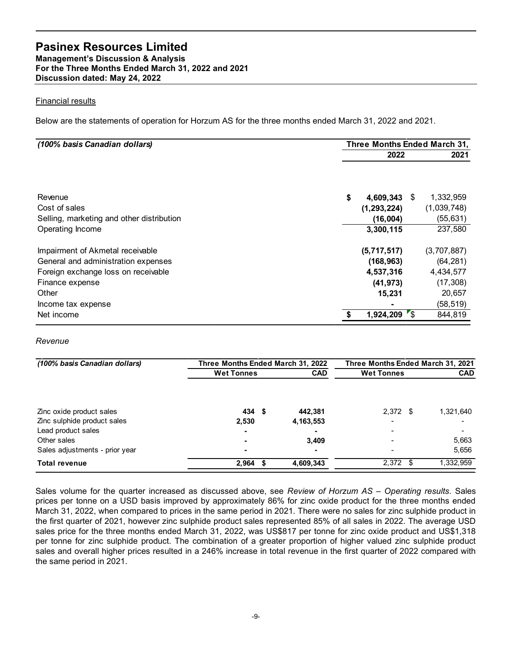#### Financial results

| Discussion dated: May 24, 2022<br><b>Financial results</b><br>Below are the statements of operation for Horzum AS for the three months ended March 31, 2022 and 2021.<br>(100% basis Canadian dollars)<br>Revenue<br>Cost of sales<br>Selling, marketing and other distribution<br>Operating Income<br>Impairment of Akmetal receivable |                   |                                   |                                   |             |
|-----------------------------------------------------------------------------------------------------------------------------------------------------------------------------------------------------------------------------------------------------------------------------------------------------------------------------------------|-------------------|-----------------------------------|-----------------------------------|-------------|
|                                                                                                                                                                                                                                                                                                                                         |                   |                                   |                                   |             |
|                                                                                                                                                                                                                                                                                                                                         |                   |                                   |                                   |             |
|                                                                                                                                                                                                                                                                                                                                         |                   |                                   |                                   |             |
|                                                                                                                                                                                                                                                                                                                                         |                   |                                   | Three Months Ended March 31,      |             |
|                                                                                                                                                                                                                                                                                                                                         |                   |                                   | 2022                              | 2021        |
|                                                                                                                                                                                                                                                                                                                                         |                   |                                   |                                   |             |
|                                                                                                                                                                                                                                                                                                                                         |                   |                                   | \$<br>4,609,343 \$                | 1,332,959   |
|                                                                                                                                                                                                                                                                                                                                         |                   |                                   | (1, 293, 224)                     | (1,039,748) |
|                                                                                                                                                                                                                                                                                                                                         |                   |                                   | (16,004)                          | (55, 631)   |
|                                                                                                                                                                                                                                                                                                                                         |                   |                                   | 3,300,115                         | 237,580     |
|                                                                                                                                                                                                                                                                                                                                         |                   |                                   | (5,717,517)                       | (3,707,887) |
| General and administration expenses                                                                                                                                                                                                                                                                                                     |                   |                                   | (168, 963)                        | (64, 281)   |
| Foreign exchange loss on receivable                                                                                                                                                                                                                                                                                                     |                   |                                   | 4,537,316                         | 4,434,577   |
| Finance expense                                                                                                                                                                                                                                                                                                                         |                   |                                   | (41, 973)                         | (17, 308)   |
| Other                                                                                                                                                                                                                                                                                                                                   |                   |                                   | 15,231                            | 20,657      |
| Income tax expense                                                                                                                                                                                                                                                                                                                      |                   |                                   | $\blacksquare$                    | (58, 519)   |
| Net income                                                                                                                                                                                                                                                                                                                              |                   |                                   | \$<br>$1,924,209$ \$              | 844,819     |
| Revenue                                                                                                                                                                                                                                                                                                                                 |                   |                                   |                                   |             |
|                                                                                                                                                                                                                                                                                                                                         |                   |                                   |                                   |             |
| (100% basis Canadian dollars)                                                                                                                                                                                                                                                                                                           |                   | Three Months Ended March 31, 2022 | Three Months Ended March 31, 2021 |             |
|                                                                                                                                                                                                                                                                                                                                         | <b>Wet Tonnes</b> | <b>CAD</b>                        | <b>Wet Tonnes</b>                 | <b>CAD</b>  |
| Zinc oxide product sales<br>Zinc sulphide product sales                                                                                                                                                                                                                                                                                 | 434 \$<br>2,530   | 442,381<br>4, 163, 553            | 2,372 \$                          | 1,321,640   |

#### Revenue

| Impairment of Akmetal receivable    |                                   |             | (5,717,517)       | (3,707,887)                       |
|-------------------------------------|-----------------------------------|-------------|-------------------|-----------------------------------|
| General and administration expenses |                                   |             | (168, 963)        | (64, 281)                         |
| Foreign exchange loss on receivable |                                   |             | 4,537,316         | 4,434,577                         |
| Finance expense                     |                                   |             | (41, 973)         | (17, 308)                         |
| Other                               |                                   |             | 15,231            | 20,657                            |
| Income tax expense                  |                                   |             |                   | (58, 519)                         |
| Net income                          |                                   |             | $1,924,209$ \$    | 844,819                           |
| Revenue                             |                                   |             |                   |                                   |
| (100% basis Canadian dollars)       | Three Months Ended March 31, 2022 |             |                   | Three Months Ended March 31, 2021 |
|                                     | <b>Wet Tonnes</b>                 | <b>CAD</b>  | <b>Wet Tonnes</b> | <b>CAD</b>                        |
|                                     |                                   |             |                   |                                   |
| Zinc oxide product sales            | 434 \$                            | 442,381     | $2,372$ \$        | 1,321,640                         |
| Zinc sulphide product sales         | 2,530                             | 4, 163, 553 |                   |                                   |
| Lead product sales                  |                                   |             |                   |                                   |
|                                     |                                   |             |                   | 5,663                             |
| Other sales                         |                                   | 3,409       |                   |                                   |
| Sales adjustments - prior year      |                                   |             |                   | 5,656                             |

Sales volume for the quarter increased as discussed above, see Review of Horzum AS - Operating results. Sales prices per tonne on a USD basis improved by approximately 86% for zinc oxide product for the three months ended March 31, 2022, when compared to prices in the same period in 2021. There were no sales for zinc sulphide product in the first quarter of 2021, however zinc sulphide product sales represented 85% of all sales in 2022. The average USD sales price for the three months ended March 31, 2022, was US\$817 per tonne for zinc oxide product and US\$1,318 per tonne for zinc sulphide product. The combination of a greater proportion of higher valued zinc sulphide product sales and overall higher prices resulted in a 246% increase in total revenue in the first quarter of 2022 compared with the same period in 2021.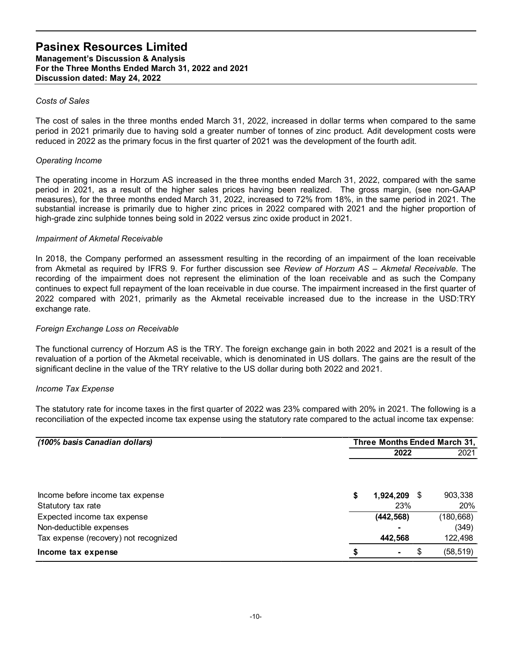#### Costs of Sales

The cost of sales in the three months ended March 31, 2022, increased in dollar terms when compared to the same period in 2021 primarily due to having sold a greater number of tonnes of zinc product. Adit development costs were reduced in 2022 as the primary focus in the first quarter of 2021 was the development of the fourth adit.

#### Operating Income

The operating income in Horzum AS increased in the three months ended March 31, 2022, compared with the same period in 2021, as a result of the higher sales prices having been realized. The gross margin, (see non-GAAP measures), for the three months ended March 31, 2022, increased to 72% from 18%, in the same period in 2021. The substantial increase is primarily due to higher zinc prices in 2022 compared with 2021 and the higher proportion of high-grade zinc sulphide tonnes being sold in 2022 versus zinc oxide product in 2021.

#### Impairment of Akmetal Receivable

In 2018, the Company performed an assessment resulting in the recording of an impairment of the loan receivable from Akmetal as required by IFRS 9. For further discussion see Review of Horzum AS - Akmetal Receivable. The recording of the impairment does not represent the elimination of the loan receivable and as such the Company continues to expect full repayment of the loan receivable in due course. The impairment increased in the first quarter of 2022 compared with 2021, primarily as the Akmetal receivable increased due to the increase in the USD:TRY exchange rate.

#### Foreign Exchange Loss on Receivable

#### Income Tax Expense

| continues to expect full repayment of the loan receivable in due course. The impairment increased in the first quarter of<br>2022 compared with 2021, primarily as the Akmetal receivable increased due to the increase in the USD:TRY<br>exchange rate.                                                                                           |                              |                  |
|----------------------------------------------------------------------------------------------------------------------------------------------------------------------------------------------------------------------------------------------------------------------------------------------------------------------------------------------------|------------------------------|------------------|
| Foreign Exchange Loss on Receivable                                                                                                                                                                                                                                                                                                                |                              |                  |
| The functional currency of Horzum AS is the TRY. The foreign exchange gain in both 2022 and 2021 is a result of the<br>revaluation of a portion of the Akmetal receivable, which is denominated in US dollars. The gains are the result of the<br>significant decline in the value of the TRY relative to the US dollar during both 2022 and 2021. |                              |                  |
| Income Tax Expense                                                                                                                                                                                                                                                                                                                                 |                              |                  |
| The statutory rate for income taxes in the first quarter of 2022 was 23% compared with 20% in 2021. The following is a<br>reconciliation of the expected income tax expense using the statutory rate compared to the actual income tax expense:                                                                                                    |                              |                  |
|                                                                                                                                                                                                                                                                                                                                                    |                              |                  |
| (100% basis Canadian dollars)                                                                                                                                                                                                                                                                                                                      | Three Months Ended March 31, |                  |
|                                                                                                                                                                                                                                                                                                                                                    | 2022                         | 2021             |
| Income before income tax expense                                                                                                                                                                                                                                                                                                                   | 1,924,209 \$                 | 903,338          |
| Statutory tax rate                                                                                                                                                                                                                                                                                                                                 | 23%                          | 20%              |
| Expected income tax expense                                                                                                                                                                                                                                                                                                                        | (442, 568)                   | (180, 668)       |
| Non-deductible expenses<br>Tax expense (recovery) not recognized                                                                                                                                                                                                                                                                                   | 442,568                      | (349)<br>122,498 |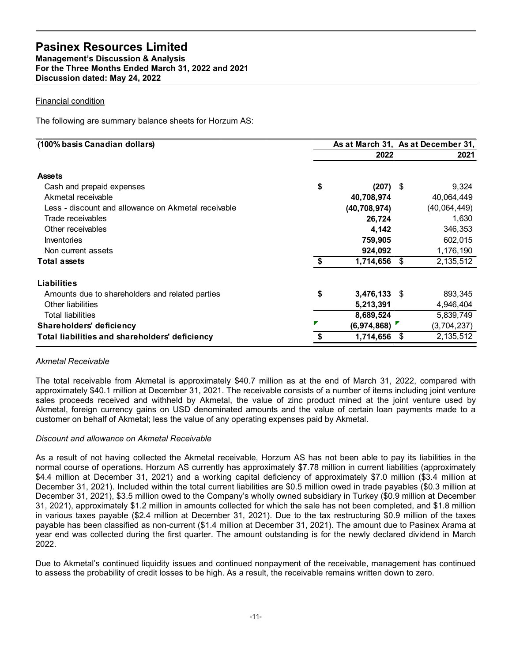#### Financial condition

|    |                |                                                      | 2021                                                                                                |
|----|----------------|------------------------------------------------------|-----------------------------------------------------------------------------------------------------|
|    |                |                                                      |                                                                                                     |
|    |                |                                                      | 9,324                                                                                               |
|    | 40,708,974     |                                                      | 40,064,449                                                                                          |
|    | (40, 708, 974) |                                                      | (40,064,449)                                                                                        |
|    | 26,724         |                                                      | 1,630                                                                                               |
|    | 4,142          |                                                      | 346,353                                                                                             |
|    |                |                                                      | 602,015                                                                                             |
|    |                |                                                      | 1,176,190                                                                                           |
| S. |                |                                                      | 2,135,512                                                                                           |
|    |                |                                                      |                                                                                                     |
|    |                |                                                      | 893,345                                                                                             |
|    |                |                                                      | 4,946,404                                                                                           |
|    |                |                                                      | 5,839,749                                                                                           |
|    |                |                                                      | (3,704,237)                                                                                         |
|    | 1,714,656 \$   |                                                      | 2,135,512                                                                                           |
|    | \$<br>\$       | 2022<br>759,905<br>924,092<br>5,213,391<br>8,689,524 | As at March 31, As at December 31,<br>$(207)$ \$<br>$1,714,656$ \$<br>$3,476,133$ \$<br>(6,974,868) |

#### Akmetal Receivable

The total receivable from Akmetal is approximately \$40.7 million as at the end of March 31, 2022, compared with approximately \$40.1 million at December 31, 2021. The receivable consists of a number of items including joint venture sales proceeds received and withheld by Akmetal, the value of zinc product mined at the joint venture used by Akmetal, foreign currency gains on USD denominated amounts and the value of certain loan payments made to a customer on behalf of Akmetal; less the value of any operating expenses paid by Akmetal.

#### Discount and allowance on Akmetal Receivable

As a result of not having collected the Akmetal receivable, Horzum AS has not been able to pay its liabilities in the normal course of operations. Horzum AS currently has approximately \$7.78 million in current liabilities (approximately \$4.4 million at December 31, 2021) and a working capital deficiency of approximately \$7.0 million (\$3.4 million at December 31, 2021). Included within the total current liabilities are \$0.5 million owed in trade payables (\$0.3 million at December 31, 2021), \$3.5 million owed to the Company's wholly owned subsidiary in Turkey (\$0.9 million at December 31, 2021), approximately \$1.2 million in amounts collected for which the sale has not been completed, and \$1.8 million in various taxes payable (\$2.4 million at December 31, 2021). Due to the tax restructuring \$0.9 million of the taxes payable has been classified as non-current (\$1.4 million at December 31, 2021). The amount due to Pasinex Arama at year end was collected during the first quarter. The amount outstanding is for the newly declared dividend in March 2022.

Due to Akmetal's continued liquidity issues and continued nonpayment of the receivable, management has continued to assess the probability of credit losses to be high. As a result, the receivable remains written down to zero.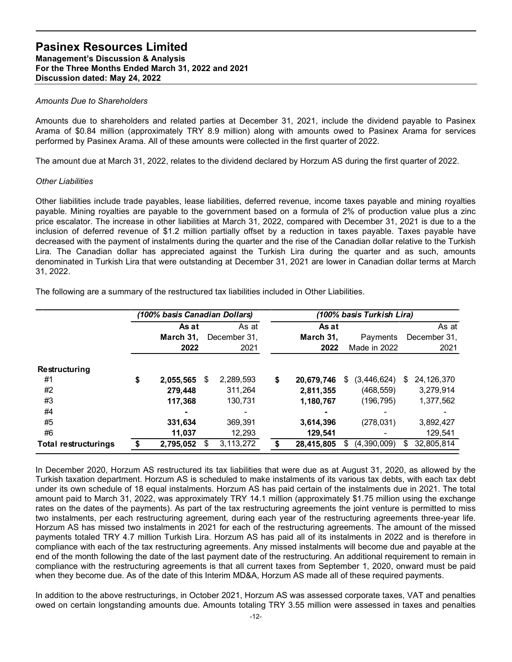#### Amounts Due to Shareholders

Amounts due to shareholders and related parties at December 31, 2021, include the dividend payable to Pasinex Arama of \$0.84 million (approximately TRY 8.9 million) along with amounts owed to Pasinex Arama for services performed by Pasinex Arama. All of these amounts were collected in the first quarter of 2022.

#### Other Liabilities

Other liabilities include trade payables, lease liabilities, deferred revenue, income taxes payable and mining royalties payable. Mining royalties are payable to the government based on a formula of 2% of production value plus a zinc price escalator. The increase in other liabilities at March 31, 2022, compared with December 31, 2021 is due to a the inclusion of deferred revenue of \$1.2 million partially offset by a reduction in taxes payable. Taxes payable have decreased with the payment of instalments during the quarter and the rise of the Canadian dollar relative to the Turkish Lira. The Canadian dollar has appreciated against the Turkish Lira during the quarter and as such, amounts denominated in Turkish Lira that were outstanding at December 31, 2021 are lower in Canadian dollar terms at March 31, 2022. d related particles at December 31, 2021, include the dividend payable to Pasinex<br>
anately TRY 8.9 million) along with amounts owed to Pasinex Arama for services<br>
of these amounts were collected in the first quarter of 20 ers and related parties at December 31, 2021, include the dividend payable to Pasinex<br>proximietely TRY 8.9 million) along with amounts word to Pasinex Arama for services<br>in. All of these amounts were collected in the first

| performed by Pasinex Arama. All of these amounts were collected in the first quarter of 2022.                                                                                                                                                                                                                                                                                                                                                                                                                                                                                                                                                                                                                                                                                                                                                                                                                                                                               |                                                         |                                                      |                                                      | Arama of \$0.84 million (approximately TRY 8.9 million) along with amounts owed to Pasinex Arama for services |                                                                |
|-----------------------------------------------------------------------------------------------------------------------------------------------------------------------------------------------------------------------------------------------------------------------------------------------------------------------------------------------------------------------------------------------------------------------------------------------------------------------------------------------------------------------------------------------------------------------------------------------------------------------------------------------------------------------------------------------------------------------------------------------------------------------------------------------------------------------------------------------------------------------------------------------------------------------------------------------------------------------------|---------------------------------------------------------|------------------------------------------------------|------------------------------------------------------|---------------------------------------------------------------------------------------------------------------|----------------------------------------------------------------|
| The amount due at March 31, 2022, relates to the dividend declared by Horzum AS during the first quarter of 2022.                                                                                                                                                                                                                                                                                                                                                                                                                                                                                                                                                                                                                                                                                                                                                                                                                                                           |                                                         |                                                      |                                                      |                                                                                                               |                                                                |
| <b>Other Liabilities</b>                                                                                                                                                                                                                                                                                                                                                                                                                                                                                                                                                                                                                                                                                                                                                                                                                                                                                                                                                    |                                                         |                                                      |                                                      |                                                                                                               |                                                                |
| Other liabilities include trade payables, lease liabilities, deferred revenue, income taxes payable and mining royalties<br>payable. Mining royalties are payable to the government based on a formula of 2% of production value plus a zinc<br>price escalator. The increase in other liabilities at March 31, 2022, compared with December 31, 2021 is due to a the<br>inclusion of deferred revenue of \$1.2 million partially offset by a reduction in taxes payable. Taxes payable have<br>decreased with the payment of instalments during the quarter and the rise of the Canadian dollar relative to the Turkish<br>Lira. The Canadian dollar has appreciated against the Turkish Lira during the quarter and as such, amounts<br>denominated in Turkish Lira that were outstanding at December 31, 2021 are lower in Canadian dollar terms at March<br>31, 2022.<br>The following are a summary of the restructured tax liabilities included in Other Liabilities. |                                                         |                                                      |                                                      |                                                                                                               |                                                                |
|                                                                                                                                                                                                                                                                                                                                                                                                                                                                                                                                                                                                                                                                                                                                                                                                                                                                                                                                                                             | (100% basis Canadian Dollars)                           |                                                      |                                                      | (100% basis Turkish Lira)                                                                                     |                                                                |
|                                                                                                                                                                                                                                                                                                                                                                                                                                                                                                                                                                                                                                                                                                                                                                                                                                                                                                                                                                             | As at                                                   | As at                                                | As at                                                |                                                                                                               | As at                                                          |
|                                                                                                                                                                                                                                                                                                                                                                                                                                                                                                                                                                                                                                                                                                                                                                                                                                                                                                                                                                             | March 31,<br>2022                                       | December 31,<br>2021                                 | March 31,<br>2022                                    | Payments<br>Made in 2022                                                                                      | December 31,<br>2021                                           |
| Restructuring<br>#1<br>#2<br>#3<br>#4<br>#5<br>#6                                                                                                                                                                                                                                                                                                                                                                                                                                                                                                                                                                                                                                                                                                                                                                                                                                                                                                                           | 2,055,565 \$<br>279,448<br>117,368<br>331,634<br>11,037 | 2,289,593<br>311,264<br>130,731<br>369,391<br>12,293 | \$<br>2,811,355<br>1,180,767<br>3,614,396<br>129,541 | 20,679,746 \$ (3,446,624) \$<br>(468, 559)<br>(196, 795)<br>(278, 031)                                        | 24, 126, 370<br>3,279,914<br>1,377,562<br>3,892,427<br>129,541 |

In December 2020, Horzum AS restructured its tax liabilities that were due as at August 31, 2020, as allowed by the Turkish taxation department. Horzum AS is scheduled to make instalments of its various tax debts, with each tax debt under its own schedule of 18 equal instalments. Horzum AS has paid certain of the instalments due in 2021. The total amount paid to March 31, 2022, was approximately TRY 14.1 million (approximately \$1.75 million using the exchange rates on the dates of the payments). As part of the tax restructuring agreements the joint venture is permitted to miss two instalments, per each restructuring agreement, during each year of the restructuring agreements three-year life. Horzum AS has missed two instalments in 2021 for each of the restructuring agreements. The amount of the missed payments totaled TRY 4.7 million Turkish Lira. Horzum AS has paid all of its instalments in 2022 and is therefore in compliance with each of the tax restructuring agreements. Any missed instalments will become due and payable at the end of the month following the date of the last payment date of the restructuring. An additional requirement to remain in compliance with the restructuring agreements is that all current taxes from September 1, 2020, onward must be paid when they become due. As of the date of this Interim MD&A, Horzum AS made all of these required payments.

In addition to the above restructurings, in October 2021, Horzum AS was assessed corporate taxes, VAT and penalties owed on certain longstanding amounts due. Amounts totaling TRY 3.55 million were assessed in taxes and penalties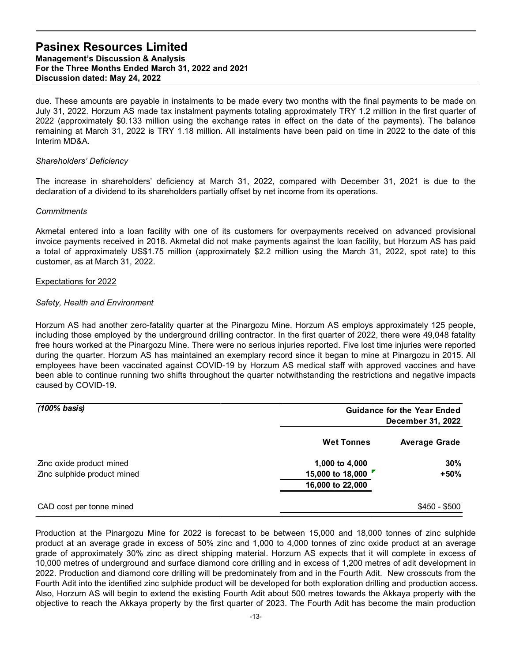due. These amounts are payable in instalments to be made every two months with the final payments to be made on July 31, 2022. Horzum AS made tax instalment payments totaling approximately TRY 1.2 million in the first quarter of 2022 (approximately \$0.133 million using the exchange rates in effect on the date of the payments). The balance remaining at March 31, 2022 is TRY 1.18 million. All instalments have been paid on time in 2022 to the date of this Interim MD&A.

#### Shareholders' Deficiency

The increase in shareholders' deficiency at March 31, 2022, compared with December 31, 2021 is due to the declaration of a dividend to its shareholders partially offset by net income from its operations.

#### **Commitments**

#### Expectations for 2022

#### Safety, Health and Environment

| Akmetal entered into a loan facility with one of its customers for overpayments received on advanced provisional<br>invoice payments received in 2018. Akmetal did not make payments against the loan facility, but Horzum AS has paid<br>a total of approximately US\$1.75 million (approximately \$2.2 million using the March 31, 2022, spot rate) to this<br>customer, as at March 31, 2022.                                                                                                                                                                                                                                                                                                                                                                             |                                                        |                                                         |
|------------------------------------------------------------------------------------------------------------------------------------------------------------------------------------------------------------------------------------------------------------------------------------------------------------------------------------------------------------------------------------------------------------------------------------------------------------------------------------------------------------------------------------------------------------------------------------------------------------------------------------------------------------------------------------------------------------------------------------------------------------------------------|--------------------------------------------------------|---------------------------------------------------------|
| <b>Expectations for 2022</b>                                                                                                                                                                                                                                                                                                                                                                                                                                                                                                                                                                                                                                                                                                                                                 |                                                        |                                                         |
| Safety, Health and Environment                                                                                                                                                                                                                                                                                                                                                                                                                                                                                                                                                                                                                                                                                                                                               |                                                        |                                                         |
| Horzum AS had another zero-fatality quarter at the Pinargozu Mine. Horzum AS employs approximately 125 people,<br>including those employed by the underground drilling contractor. In the first quarter of 2022, there were 49,048 fatality<br>free hours worked at the Pinargozu Mine. There were no serious injuries reported. Five lost time injuries were reported<br>during the quarter. Horzum AS has maintained an exemplary record since it began to mine at Pinargozu in 2015. All<br>employees have been vaccinated against COVID-19 by Horzum AS medical staff with approved vaccines and have<br>been able to continue running two shifts throughout the quarter notwithstanding the restrictions and negative impacts<br>caused by COVID-19.<br>$(100\%$ basis) |                                                        | <b>Guidance for the Year Ended</b><br>December 31, 2022 |
|                                                                                                                                                                                                                                                                                                                                                                                                                                                                                                                                                                                                                                                                                                                                                                              | <b>Wet Tonnes</b>                                      | <b>Average Grade</b>                                    |
| Zinc oxide product mined<br>Zinc sulphide product mined                                                                                                                                                                                                                                                                                                                                                                                                                                                                                                                                                                                                                                                                                                                      | 1,000 to 4,000<br>15,000 to 18,000<br>16,000 to 22,000 | 30%<br>$+50%$                                           |
| CAD cost per tonne mined                                                                                                                                                                                                                                                                                                                                                                                                                                                                                                                                                                                                                                                                                                                                                     |                                                        | $$450 - $500$                                           |
| Production at the Pinargozu Mine for 2022 is forecast to be between 15,000 and 18,000 tonnes of zinc sulphide<br>product at an average grade in excess of 50% zinc and 1,000 to 4,000 tonnes of zinc oxide product at an average<br>grade of approximately 30% zinc as direct shipping material. Horzum AS expects that it will complete in excess of                                                                                                                                                                                                                                                                                                                                                                                                                        |                                                        |                                                         |

Production at the Pinargozu Mine for 2022 is forecast to be between 15,000 and 18,000 tonnes of zinc sulphide product at an average grade in excess of 50% zinc and 1,000 to 4,000 tonnes of zinc oxide product at an average grade of approximately 30% zinc as direct shipping material. Horzum AS expects that it will complete in excess of 10,000 metres of underground and surface diamond core drilling and in excess of 1,200 metres of adit development in 2022. Production and diamond core drilling will be predominately from and in the Fourth Adit. New crosscuts from the Fourth Adit into the identified zinc sulphide product will be developed for both exploration drilling and production access. Also, Horzum AS will begin to extend the existing Fourth Adit about 500 metres towards the Akkaya property with the objective to reach the Akkaya property by the first quarter of 2023. The Fourth Adit has become the main production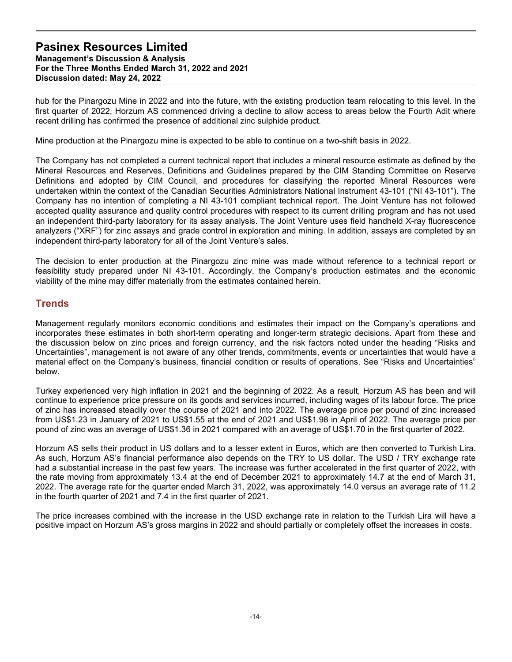hub for the Pinargozu Mine in 2022 and into the future, with the existing production team relocating to this level. In the first quarter of 2022, Horzum AS commenced driving a decline to allow access to areas below the Fourth Adit where recent drilling has confirmed the presence of additional zinc sulphide product.

Mine production at the Pinargozu mine is expected to be able to continue on a two-shift basis in 2022.

The Company has not completed a current technical report that includes a mineral resource estimate as defined by the Mineral Resources and Reserves, Definitions and Guidelines prepared by the CIM Standing Committee on Reserve Definitions and adopted by CIM Council, and procedures for classifying the reported Mineral Resources were undertaken within the context of the Canadian Securities Administrators National Instrument 43-101 ("NI 43-101"). The Company has no intention of completing a NI 43-101 compliant technical report. The Joint Venture has not followed accepted quality assurance and quality control procedures with respect to its current drilling program and has not used an independent third-party laboratory for its assay analysis. The Joint Venture uses field handheld X-ray fluorescence analyzers ("XRF") for zinc assays and grade control in exploration and mining. In addition, assays are completed by an independent third-party laboratory for all of the Joint Venture's sales.

The decision to enter production at the Pinargozu zinc mine was made without reference to a technical report or feasibility study prepared under NI 43-101. Accordingly, the Company's production estimates and the economic viability of the mine may differ materially from the estimates contained herein.

## **Trends**

Management regularly monitors economic conditions and estimates their impact on the Company's operations and incorporates these estimates in both short-term operating and longer-term strategic decisions. Apart from these and the discussion below on zinc prices and foreign currency, and the risk factors noted under the heading "Risks and Uncertainties", management is not aware of any other trends, commitments, events or uncertainties that would have a material effect on the Company's business, financial condition or results of operations. See "Risks and Uncertainties" below.

Turkey experienced very high inflation in 2021 and the beginning of 2022. As a result, Horzum AS has been and will continue to experience price pressure on its goods and services incurred, including wages of its labour force. The price of zinc has increased steadily over the course of 2021 and into 2022. The average price per pound of zinc increased from US\$1.23 in January of 2021 to US\$1.55 at the end of 2021 and US\$1.98 in April of 2022. The average price per pound of zinc was an average of US\$1.36 in 2021 compared with an average of US\$1.70 in the first quarter of 2022.

Horzum AS sells their product in US dollars and to a lesser extent in Euros, which are then converted to Turkish Lira. As such, Horzum AS's financial performance also depends on the TRY to US dollar. The USD / TRY exchange rate had a substantial increase in the past few years. The increase was further accelerated in the first quarter of 2022, with the rate moving from approximately 13.4 at the end of December 2021 to approximately 14.7 at the end of March 31, 2022. The average rate for the quarter ended March 31, 2022, was approximately 14.0 versus an average rate of 11.2 in the fourth quarter of 2021 and 7.4 in the first quarter of 2021.

The price increases combined with the increase in the USD exchange rate in relation to the Turkish Lira will have a positive impact on Horzum AS's gross margins in 2022 and should partially or completely offset the increases in costs.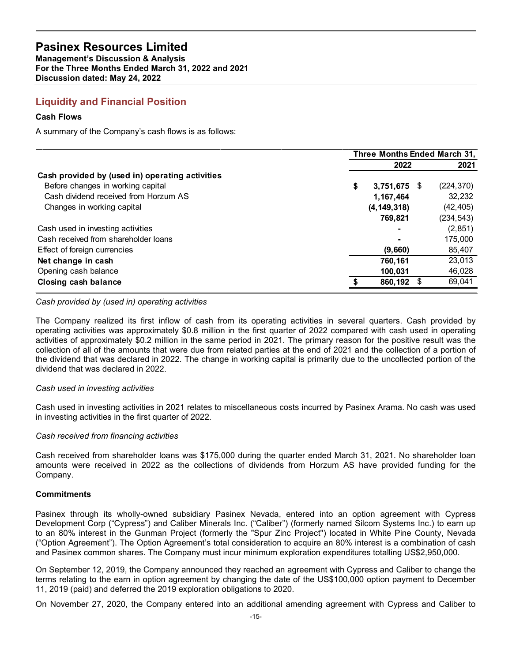## Liquidity and Financial Position

#### Cash Flows

| <b>Pasinex Resources Limited</b><br><b>Management's Discussion &amp; Analysis</b><br>For the Three Months Ended March 31, 2022 and 2021<br>Discussion dated: May 24, 2022 |                              |                     |
|---------------------------------------------------------------------------------------------------------------------------------------------------------------------------|------------------------------|---------------------|
| <b>Liquidity and Financial Position</b>                                                                                                                                   |                              |                     |
| <b>Cash Flows</b>                                                                                                                                                         |                              |                     |
| A summary of the Company's cash flows is as follows:                                                                                                                      |                              |                     |
|                                                                                                                                                                           |                              |                     |
|                                                                                                                                                                           |                              |                     |
|                                                                                                                                                                           | Three Months Ended March 31, |                     |
|                                                                                                                                                                           | 2022                         | 2021                |
| Cash provided by (used in) operating activities                                                                                                                           |                              |                     |
| Before changes in working capital                                                                                                                                         | 3,751,675 \$                 | (224, 370)          |
| Cash dividend received from Horzum AS                                                                                                                                     | 1,167,464                    | 32,232              |
| Changes in working capital                                                                                                                                                | (4, 149, 318)                | (42, 405)           |
|                                                                                                                                                                           | 769,821                      | (234, 543)          |
| Cash used in investing activities<br>Cash received from shareholder loans                                                                                                 |                              | (2, 851)<br>175,000 |
| Effect of foreign currencies                                                                                                                                              | (9,660)                      | 85,407              |
| Net change in cash                                                                                                                                                        | 760,161                      | 23,013              |
| Opening cash balance                                                                                                                                                      | 100,031                      | 46,028              |

#### Cash provided by (used in) operating activities

The Company realized its first inflow of cash from its operating activities in several quarters. Cash provided by operating activities was approximately \$0.8 million in the first quarter of 2022 compared with cash used in operating activities of approximately \$0.2 million in the same period in 2021. The primary reason for the positive result was the collection of all of the amounts that were due from related parties at the end of 2021 and the collection of a portion of the dividend that was declared in 2022. The change in working capital is primarily due to the uncollected portion of the dividend that was declared in 2022.

#### Cash used in investing activities

Cash used in investing activities in 2021 relates to miscellaneous costs incurred by Pasinex Arama. No cash was used in investing activities in the first quarter of 2022.

#### Cash received from financing activities

Cash received from shareholder loans was \$175,000 during the quarter ended March 31, 2021. No shareholder loan amounts were received in 2022 as the collections of dividends from Horzum AS have provided funding for the Company.

#### **Commitments**

Pasinex through its wholly-owned subsidiary Pasinex Nevada, entered into an option agreement with Cypress Development Corp ("Cypress") and Caliber Minerals Inc. ("Caliber") (formerly named Silcom Systems Inc.) to earn up to an 80% interest in the Gunman Project (formerly the "Spur Zinc Project") located in White Pine County, Nevada ("Option Agreement"). The Option Agreement's total consideration to acquire an 80% interest is a combination of cash and Pasinex common shares. The Company must incur minimum exploration expenditures totalling US\$2,950,000.

On September 12, 2019, the Company announced they reached an agreement with Cypress and Caliber to change the terms relating to the earn in option agreement by changing the date of the US\$100,000 option payment to December 11, 2019 (paid) and deferred the 2019 exploration obligations to 2020.

On November 27, 2020, the Company entered into an additional amending agreement with Cypress and Caliber to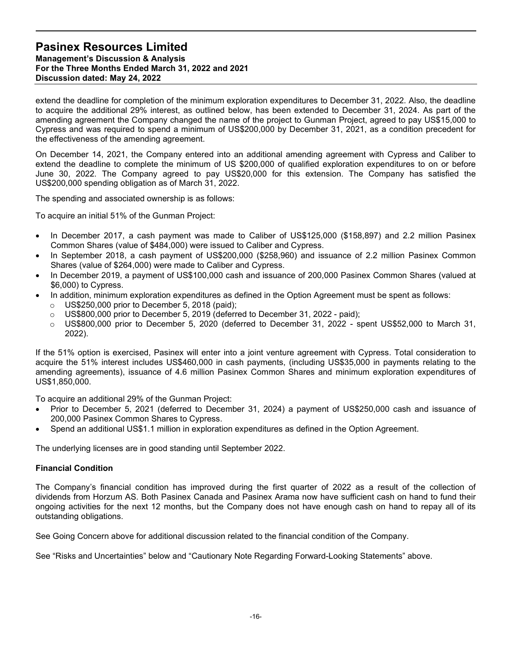extend the deadline for completion of the minimum exploration expenditures to December 31, 2022. Also, the deadline to acquire the additional 29% interest, as outlined below, has been extended to December 31, 2024. As part of the amending agreement the Company changed the name of the project to Gunman Project, agreed to pay US\$15,000 to Cypress and was required to spend a minimum of US\$200,000 by December 31, 2021, as a condition precedent for the effectiveness of the amending agreement.

On December 14, 2021, the Company entered into an additional amending agreement with Cypress and Caliber to extend the deadline to complete the minimum of US \$200,000 of qualified exploration expenditures to on or before June 30, 2022. The Company agreed to pay US\$20,000 for this extension. The Company has satisfied the US\$200,000 spending obligation as of March 31, 2022.

The spending and associated ownership is as follows:

To acquire an initial 51% of the Gunman Project:

- In December 2017, a cash payment was made to Caliber of US\$125,000 (\$158,897) and 2.2 million Pasinex Common Shares (value of \$484,000) were issued to Caliber and Cypress.
- In September 2018, a cash payment of US\$200,000 (\$258,960) and issuance of 2.2 million Pasinex Common Shares (value of \$264,000) were made to Caliber and Cypress.
- In December 2019, a payment of US\$100,000 cash and issuance of 200,000 Pasinex Common Shares (valued at \$6,000) to Cypress.
- In addition, minimum exploration expenditures as defined in the Option Agreement must be spent as follows:
	- $\circ$  US\$250,000 prior to December 5, 2018 (paid);
	- $\circ$  US\$800,000 prior to December 5, 2019 (deferred to December 31, 2022 paid);
	- o US\$800,000 prior to December 5, 2020 (deferred to December 31, 2022 spent US\$52,000 to March 31, 2022).

If the 51% option is exercised, Pasinex will enter into a joint venture agreement with Cypress. Total consideration to acquire the 51% interest includes US\$460,000 in cash payments, (including US\$35,000 in payments relating to the amending agreements), issuance of 4.6 million Pasinex Common Shares and minimum exploration expenditures of US\$1,850,000.

To acquire an additional 29% of the Gunman Project:

- Prior to December 5, 2021 (deferred to December 31, 2024) a payment of US\$250,000 cash and issuance of 200,000 Pasinex Common Shares to Cypress.
- Spend an additional US\$1.1 million in exploration expenditures as defined in the Option Agreement.

The underlying licenses are in good standing until September 2022.

#### Financial Condition

The Company's financial condition has improved during the first quarter of 2022 as a result of the collection of dividends from Horzum AS. Both Pasinex Canada and Pasinex Arama now have sufficient cash on hand to fund their ongoing activities for the next 12 months, but the Company does not have enough cash on hand to repay all of its outstanding obligations.

See Going Concern above for additional discussion related to the financial condition of the Company.

See "Risks and Uncertainties" below and "Cautionary Note Regarding Forward-Looking Statements" above.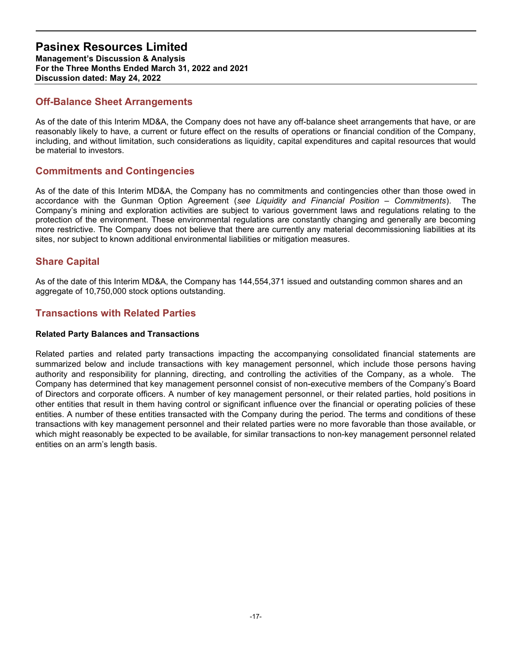Management's Discussion & Analysis For the Three Months Ended March 31, 2022 and 2021 Discussion dated: May 24, 2022

## Off-Balance Sheet Arrangements

As of the date of this Interim MD&A, the Company does not have any off-balance sheet arrangements that have, or are reasonably likely to have, a current or future effect on the results of operations or financial condition of the Company, including, and without limitation, such considerations as liquidity, capital expenditures and capital resources that would be material to investors.

## Commitments and Contingencies

As of the date of this Interim MD&A, the Company has no commitments and contingencies other than those owed in accordance with the Gunman Option Agreement (see Liquidity and Financial Position – Commitments). The Company's mining and exploration activities are subject to various government laws and regulations relating to the protection of the environment. These environmental regulations are constantly changing and generally are becoming more restrictive. The Company does not believe that there are currently any material decommissioning liabilities at its sites, nor subject to known additional environmental liabilities or mitigation measures.

## Share Capital

As of the date of this Interim MD&A, the Company has 144,554,371 issued and outstanding common shares and an aggregate of 10,750,000 stock options outstanding.

## Transactions with Related Parties

#### Related Party Balances and Transactions

Related parties and related party transactions impacting the accompanying consolidated financial statements are summarized below and include transactions with key management personnel, which include those persons having authority and responsibility for planning, directing, and controlling the activities of the Company, as a whole. The Company has determined that key management personnel consist of non-executive members of the Company's Board of Directors and corporate officers. A number of key management personnel, or their related parties, hold positions in other entities that result in them having control or significant influence over the financial or operating policies of these entities. A number of these entities transacted with the Company during the period. The terms and conditions of these transactions with key management personnel and their related parties were no more favorable than those available, or which might reasonably be expected to be available, for similar transactions to non-key management personnel related entities on an arm's length basis.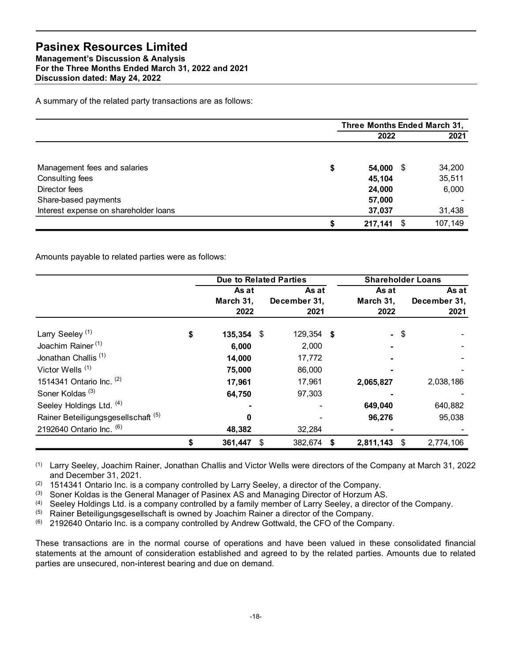| <b>Pasinex Resources Limited</b>                                                                    |                               |              |                     |                              |        |                      |
|-----------------------------------------------------------------------------------------------------|-------------------------------|--------------|---------------------|------------------------------|--------|----------------------|
| <b>Management's Discussion &amp; Analysis</b><br>For the Three Months Ended March 31, 2022 and 2021 |                               |              |                     |                              |        |                      |
| Discussion dated: May 24, 2022                                                                      |                               |              |                     |                              |        |                      |
| A summary of the related party transactions are as follows:                                         |                               |              |                     |                              |        |                      |
|                                                                                                     |                               |              |                     | Three Months Ended March 31, |        |                      |
|                                                                                                     |                               |              |                     | 2022                         |        | 2021                 |
|                                                                                                     |                               |              |                     |                              |        |                      |
| Management fees and salaries                                                                        |                               |              | \$                  | 54,000 \$                    |        | 34,200               |
| Consulting fees<br>Director fees                                                                    |                               |              |                     | 45,104<br>24,000             |        | 35,511<br>6,000      |
| Share-based payments                                                                                |                               |              |                     | 57,000                       |        |                      |
| Interest expense on shareholder loans                                                               |                               |              |                     | 37,037                       |        | 31,438               |
|                                                                                                     |                               |              | \$                  | $217,141$ \$                 |        | 107,149              |
|                                                                                                     |                               |              |                     |                              |        |                      |
| Amounts payable to related parties were as follows:                                                 |                               |              |                     |                              |        |                      |
|                                                                                                     | <b>Due to Related Parties</b> |              |                     | <b>Shareholder Loans</b>     |        |                      |
|                                                                                                     |                               |              |                     | As at                        |        | As at                |
|                                                                                                     | As at<br>March 31,<br>2022    | December 31, | As at<br>2021       | March 31,<br>2022            |        | December 31,<br>2021 |
|                                                                                                     | \$                            |              |                     |                              | $-$ \$ |                      |
| Larry Seeley <sup>(1)</sup><br>Joachim Rainer <sup>(1)</sup>                                        | 135,354 \$<br>6,000           |              | 129,354 \$<br>2,000 |                              |        |                      |

|                                                     |                  |                               | Three Months Ended March 31, |              |
|-----------------------------------------------------|------------------|-------------------------------|------------------------------|--------------|
|                                                     |                  |                               | 2022                         | 2021         |
|                                                     |                  |                               |                              |              |
| Management fees and salaries                        |                  |                               | \$<br>54,000 \$              | 34,200       |
| Consulting fees                                     |                  |                               | 45,104                       | 35,511       |
| Director fees                                       |                  |                               | 24,000                       | 6,000        |
| Share-based payments                                |                  |                               | 57,000                       |              |
| Interest expense on shareholder loans               |                  |                               | 37,037                       | 31,438       |
|                                                     |                  |                               | \$<br>$217,141$ \$           | 107,149      |
| Amounts payable to related parties were as follows: |                  |                               |                              |              |
|                                                     |                  | <b>Due to Related Parties</b> | <b>Shareholder Loans</b>     |              |
|                                                     | As at            | As at                         | As at                        | As at        |
|                                                     | March 31,        | December 31,                  | March 31,                    | December 31, |
|                                                     | 2022             | 2021                          | 2022                         | 2021         |
|                                                     |                  |                               |                              |              |
| Larry Seeley <sup>(1)</sup>                         | \$<br>135,354 \$ | 129,354 \$                    | - \$                         |              |
| Joachim Rainer <sup>(1)</sup>                       | 6,000            | 2,000                         |                              |              |
| Jonathan Challis <sup>(1)</sup>                     | 14,000           | 17,772                        |                              |              |
| Victor Wells <sup>(1)</sup>                         | 75,000           | 86,000                        |                              |              |
| 1514341 Ontario Inc. (2)                            | 17,961           | 17,961                        | 2,065,827                    | 2,038,186    |
| Soner Koldas <sup>(3)</sup>                         | 64,750           | 97,303                        |                              |              |
|                                                     |                  |                               | 649,040                      | 640,882      |
| Seeley Holdings Ltd. (4)                            |                  |                               | 96,276                       | 95,038       |
| Rainer Beteiligungsgesellschaft (5)                 | $\mathbf{0}$     |                               |                              |              |
| 2192640 Ontario Inc. (6)                            | 48,382           | 32,284                        |                              |              |

 $(3)$  Soner Koldas is the General Manager of Pasinex AS and Managing Director of Horzum AS.

(4) Seeley Holdings Ltd. is a company controlled by a family member of Larry Seeley, a director of the Company.

(5) Rainer Beteiligungsgesellschaft is owned by Joachim Rainer a director of the Company.

(6) 2192640 Ontario Inc. is a company controlled by Andrew Gottwald, the CFO of the Company.

These transactions are in the normal course of operations and have been valued in these consolidated financial statements at the amount of consideration established and agreed to by the related parties. Amounts due to related parties are unsecured, non-interest bearing and due on demand.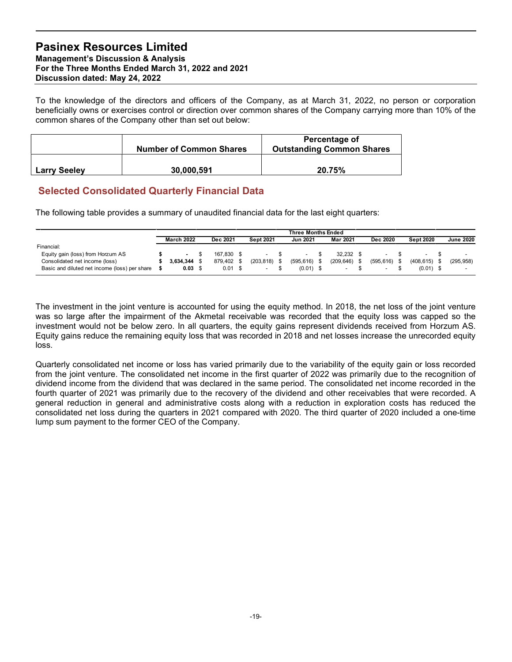|                     | <b>Number of Common Shares</b> | <b>Percentage of</b><br><b>Outstanding Common Shares</b> |
|---------------------|--------------------------------|----------------------------------------------------------|
| <b>Larry Seeley</b> | 30,000,591                     | 20.75%                                                   |

## Selected Consolidated Quarterly Financial Data

| <b>Pasinex Resources Limited</b><br><b>Management's Discussion &amp; Analysis</b><br>For the Three Months Ended March 31, 2022 and 2021<br>Discussion dated: May 24, 2022                                                                                                                      |                                     |                                                |                                 |                                              |                                                   |                 |                                |                  |
|------------------------------------------------------------------------------------------------------------------------------------------------------------------------------------------------------------------------------------------------------------------------------------------------|-------------------------------------|------------------------------------------------|---------------------------------|----------------------------------------------|---------------------------------------------------|-----------------|--------------------------------|------------------|
| To the knowledge of the directors and officers of the Company, as at March 31, 2022, no person or corporation<br>beneficially owns or exercises control or direction over common shares of the Company carrying more than 10% of the<br>common shares of the Company other than set out below: |                                     |                                                |                                 |                                              |                                                   |                 |                                |                  |
|                                                                                                                                                                                                                                                                                                | <b>Number of Common Shares</b>      |                                                |                                 |                                              | Percentage of<br><b>Outstanding Common Shares</b> |                 |                                |                  |
| <b>Larry Seeley</b>                                                                                                                                                                                                                                                                            | 30,000,591                          |                                                |                                 |                                              | 20.75%                                            |                 |                                |                  |
| <b>Selected Consolidated Quarterly Financial Data</b><br>The following table provides a summary of unaudited financial data for the last eight quarters:                                                                                                                                       |                                     |                                                |                                 |                                              |                                                   |                 |                                |                  |
|                                                                                                                                                                                                                                                                                                | <b>March 2022</b>                   | Dec 2021                                       | <b>Sept 2021</b>                | <b>Three Months Ended</b><br><b>Jun 2021</b> | Mar 2021                                          | Dec 2020        | <b>Sept 2020</b>               | <b>June 2020</b> |
| Financial:<br>Equity gain (loss) from Horzum AS<br>Consolidated net income (loss)<br>Basic and diluted net income (loss) per share                                                                                                                                                             | - \$<br>$3.634.344$ \$<br>$0.03$ \$ | 167,830 \$<br>879,402 \$<br>$0.01 \text{ }$ \$ | - \$<br>$(203, 818)$ \$<br>- \$ | -S<br>$(595, 616)$ \$<br>$(0.01)$ \$         | $32,232$ \$<br>(209, 646)<br>- \$                 | $(595, 616)$ \$ | $(408, 615)$ \$<br>$(0.01)$ \$ | (295, 958)       |

The investment in the joint venture is accounted for using the equity method. In 2018, the net loss of the joint venture was so large after the impairment of the Akmetal receivable was recorded that the equity loss was capped so the investment would not be below zero. In all quarters, the equity gains represent dividends received from Horzum AS. Equity gains reduce the remaining equity loss that was recorded in 2018 and net losses increase the unrecorded equity loss.

Quarterly consolidated net income or loss has varied primarily due to the variability of the equity gain or loss recorded from the joint venture. The consolidated net income in the first quarter of 2022 was primarily due to the recognition of dividend income from the dividend that was declared in the same period. The consolidated net income recorded in the fourth quarter of 2021 was primarily due to the recovery of the dividend and other receivables that were recorded. A general reduction in general and administrative costs along with a reduction in exploration costs has reduced the consolidated net loss during the quarters in 2021 compared with 2020. The third quarter of 2020 included a one-time lump sum payment to the former CEO of the Company.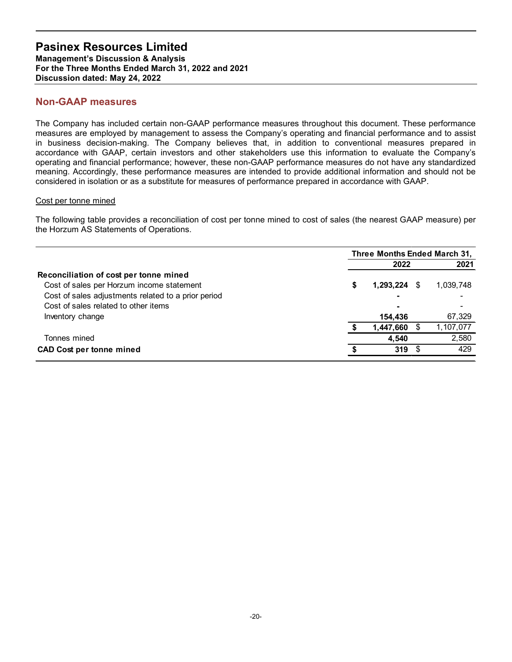## Non-GAAP measures

#### Cost per tonne mined

| <b>Management's Discussion &amp; Analysis</b><br>For the Three Months Ended March 31, 2022 and 2021                                                                                                                                                                                                                                                                                                                                                                                                                                                                                                                                                                                             |                              |              |
|-------------------------------------------------------------------------------------------------------------------------------------------------------------------------------------------------------------------------------------------------------------------------------------------------------------------------------------------------------------------------------------------------------------------------------------------------------------------------------------------------------------------------------------------------------------------------------------------------------------------------------------------------------------------------------------------------|------------------------------|--------------|
| Discussion dated: May 24, 2022                                                                                                                                                                                                                                                                                                                                                                                                                                                                                                                                                                                                                                                                  |                              |              |
| <b>Non-GAAP measures</b>                                                                                                                                                                                                                                                                                                                                                                                                                                                                                                                                                                                                                                                                        |                              |              |
| The Company has included certain non-GAAP performance measures throughout this document. These performance<br>measures are employed by management to assess the Company's operating and financial performance and to assist<br>in business decision-making. The Company believes that, in addition to conventional measures prepared in<br>accordance with GAAP, certain investors and other stakeholders use this information to evaluate the Company's<br>operating and financial performance; however, these non-GAAP performance measures do not have any standardized<br>meaning. Accordingly, these performance measures are intended to provide additional information and should not be |                              |              |
| considered in isolation or as a substitute for measures of performance prepared in accordance with GAAP.                                                                                                                                                                                                                                                                                                                                                                                                                                                                                                                                                                                        |                              |              |
| Cost per tonne mined                                                                                                                                                                                                                                                                                                                                                                                                                                                                                                                                                                                                                                                                            |                              |              |
| The following table provides a reconciliation of cost per tonne mined to cost of sales (the nearest GAAP measure) per<br>the Horzum AS Statements of Operations.                                                                                                                                                                                                                                                                                                                                                                                                                                                                                                                                | Three Months Ended March 31, |              |
|                                                                                                                                                                                                                                                                                                                                                                                                                                                                                                                                                                                                                                                                                                 | 2022                         | 2021         |
| Reconciliation of cost per tonne mined<br>Cost of sales per Horzum income statement<br>Cost of sales adjustments related to a prior period                                                                                                                                                                                                                                                                                                                                                                                                                                                                                                                                                      | 1,293,224 \$                 | 1,039,748    |
| Cost of sales related to other items                                                                                                                                                                                                                                                                                                                                                                                                                                                                                                                                                                                                                                                            |                              |              |
| Inventory change                                                                                                                                                                                                                                                                                                                                                                                                                                                                                                                                                                                                                                                                                | 154,436                      | 67,329       |
|                                                                                                                                                                                                                                                                                                                                                                                                                                                                                                                                                                                                                                                                                                 | 1,447,660<br>- \$            | 1,107,077    |
| Tonnes mined                                                                                                                                                                                                                                                                                                                                                                                                                                                                                                                                                                                                                                                                                    | 4,540<br>$319$ \$            | 2,580<br>429 |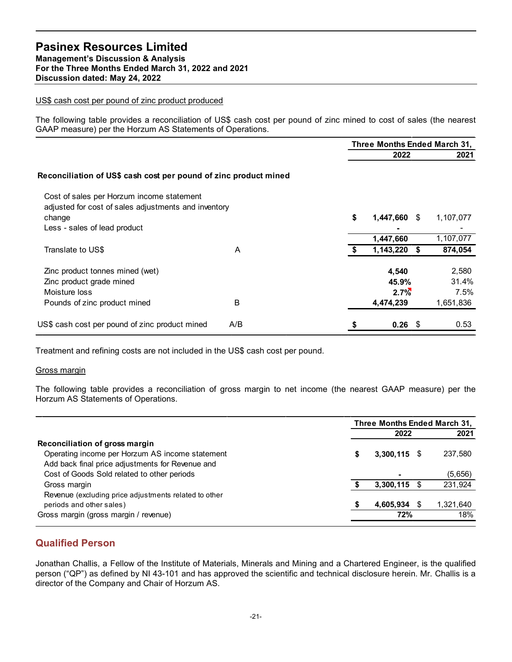#### US\$ cash cost per pound of zinc product produced

| <b>Pasinex Resources Limited</b><br><b>Management's Discussion &amp; Analysis</b><br>For the Three Months Ended March 31, 2022 and 2021<br>Discussion dated: May 24, 2022          |     |             |                              |                        |
|------------------------------------------------------------------------------------------------------------------------------------------------------------------------------------|-----|-------------|------------------------------|------------------------|
| US\$ cash cost per pound of zinc product produced                                                                                                                                  |     |             |                              |                        |
| The following table provides a reconciliation of US\$ cash cost per pound of zinc mined to cost of sales (the nearest<br>GAAP measure) per the Horzum AS Statements of Operations. |     |             |                              |                        |
|                                                                                                                                                                                    |     |             | Three Months Ended March 31, |                        |
|                                                                                                                                                                                    |     |             | 2022                         | 2021                   |
| Reconciliation of US\$ cash cost per pound of zinc product mined<br>Cost of sales per Horzum income statement                                                                      |     |             |                              |                        |
| adjusted for cost of sales adjustments and inventory<br>change<br>Less - sales of lead product                                                                                     |     |             | 1,447,660 \$                 | 1,107,077              |
|                                                                                                                                                                                    |     |             | 1,447,660                    | 1,107,077              |
| Translate to US\$                                                                                                                                                                  | A   |             | $1,143,220$ \$               | 874,054                |
| Zinc product tonnes mined (wet)<br>Zinc product grade mined<br>Moisture loss                                                                                                       |     |             | 4,540<br>45.9%<br>$2.7\%$    | 2,580<br>31.4%<br>7.5% |
| Pounds of zinc product mined                                                                                                                                                       | B   |             | 4,474,239                    | 1,651,836              |
| US\$ cash cost per pound of zinc product mined                                                                                                                                     | A/B |             | $0.26$ \$                    | 0.53                   |
| Treatment and refining costs are not included in the US\$ cash cost per pound.                                                                                                     |     |             |                              |                        |
| Gross margin                                                                                                                                                                       |     |             |                              |                        |
| The following table provides a reconciliation of gross margin to net income (the nearest GAAP measure) per the<br>Horzum AS Statements of Operations.                              |     |             |                              |                        |
|                                                                                                                                                                                    |     |             | Three Months Ended March 31, |                        |
|                                                                                                                                                                                    |     |             | 2022                         | 2021                   |
| Reconciliation of gross margin<br>Operating income per Horzum AS income statement<br>Add back final price adjustments for Revenue and                                              |     | S           | $3,300,115$ \$               | 237,580                |
| Cost of Goods Sold related to other periods                                                                                                                                        |     |             |                              | (5,656)                |
| Gross margin                                                                                                                                                                       |     | $$^{\circ}$ | $3,300,115$ \$               | 231,924                |

#### Gross margin

|                                                       | Three Months Ended March 31. |           |
|-------------------------------------------------------|------------------------------|-----------|
|                                                       | 2022                         | 2021      |
| Reconciliation of gross margin                        |                              |           |
| Operating income per Horzum AS income statement       | $3,300,115$ \$               | 237,580   |
| Add back final price adjustments for Revenue and      |                              |           |
| Cost of Goods Sold related to other periods           |                              | (5,656)   |
| Gross margin                                          | $3,300,115$ \$               | 231,924   |
| Revenue (excluding price adjustments related to other |                              |           |
| periods and other sales)                              | 4,605,934 \$                 | 1,321,640 |
| Gross margin (gross margin / revenue)                 | 72%                          | 18%       |

## Qualified Person

Jonathan Challis, a Fellow of the Institute of Materials, Minerals and Mining and a Chartered Engineer, is the qualified person ("QP") as defined by NI 43-101 and has approved the scientific and technical disclosure herein. Mr. Challis is a director of the Company and Chair of Horzum AS.